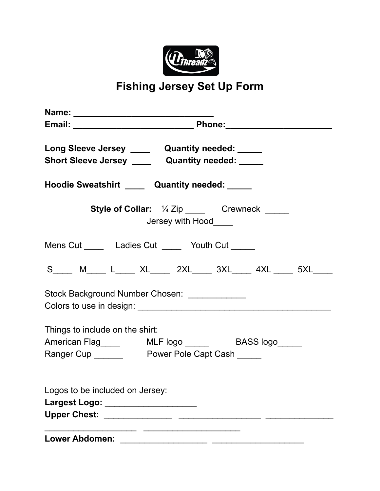

**Fishing Jersey Set Up Form**

| Name: __________________________________                                                             |  |  |
|------------------------------------------------------------------------------------------------------|--|--|
|                                                                                                      |  |  |
| Long Sleeve Jersey _____ Quantity needed: _____<br>Short Sleeve Jersey ______ Quantity needed: _____ |  |  |
| Hoodie Sweatshirt _____ Quantity needed: _____                                                       |  |  |
| <b>Style of Collar:</b> 1/4 Zip ______ Crewneck _____<br>Jersey with Hood____                        |  |  |
| Mens Cut ________ Ladies Cut ________ Youth Cut ______                                               |  |  |
| S_______ M_______ L_______ XL_______ 2XL_______ 3XL_______ 4XL ______ 5XL______                      |  |  |
| Stock Background Number Chosen: _____________                                                        |  |  |
| Things to include on the shirt:                                                                      |  |  |
|                                                                                                      |  |  |
|                                                                                                      |  |  |
| Logos to be included on Jersey:                                                                      |  |  |
| Largest Logo: _____________________                                                                  |  |  |
|                                                                                                      |  |  |
| <b>Lower Abdomen:</b>                                                                                |  |  |